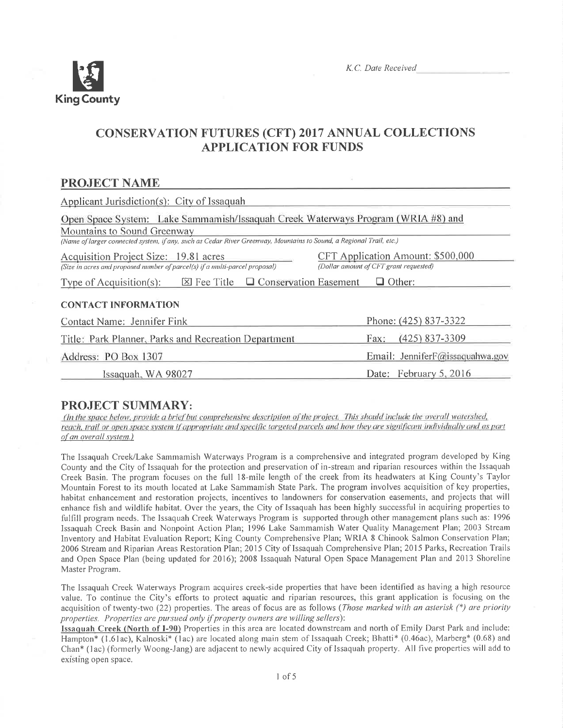

# **CONSERVATION FUTURES (CFT) 2017 ANNUAL COLLECTIONS APPLICATION FOR FUNDS**

## **PROJECT NAME**

| Applicant Jurisdiction(s): City of Issaquah                                                                                                        |                                                                             |  |  |  |  |  |
|----------------------------------------------------------------------------------------------------------------------------------------------------|-----------------------------------------------------------------------------|--|--|--|--|--|
| Open Space System: Lake Sammamish/Issaquah Creek Waterways Program (WRIA #8) and                                                                   |                                                                             |  |  |  |  |  |
| Mountains to Sound Greenway<br>(Name of larger connected system, if any, such as Cedar River Greenway, Mountains to Sound, a Regional Trail, etc.) |                                                                             |  |  |  |  |  |
| Acquisition Project Size: 19.81 acres<br>(Size in acres and proposed number of parcel(s) if a multi-parcel proposal)                               | CFT Application Amount: \$500,000<br>(Dollar amount of CFT grant requested) |  |  |  |  |  |
| $\boxtimes$ Fee Title $\Box$ Conservation Easement<br>$\Box$ Other:<br>Type of Acquisition(s):                                                     |                                                                             |  |  |  |  |  |
| <b>CONTACT INFORMATION</b>                                                                                                                         |                                                                             |  |  |  |  |  |
| Contact Name: Jennifer Fink                                                                                                                        | Phone: (425) 837-3322                                                       |  |  |  |  |  |
| Title: Park Planner, Parks and Recreation Department                                                                                               | $(425)$ 837-3309<br>Fax:                                                    |  |  |  |  |  |
| Address: PO Box 1307                                                                                                                               | Email: JenniferF@issaquahwa.gov                                             |  |  |  |  |  |
| Issaquah, WA 98027                                                                                                                                 | Date: February 5, 2016                                                      |  |  |  |  |  |

## **PROJECT SUMMARY:**

(In the space below, provide a brief but comprehensive description of the project. This should include the overall watershed, reach, trail or open space system if appropriate and specific targeted parcels and how they are significant individually and as part of an overall system.)

The Issaquah Creek/Lake Sammamish Waterways Program is a comprehensive and integrated program developed by King County and the City of Issaquah for the protection and preservation of in-stream and riparian resources within the Issaquah Creek Basin. The program focuses on the full 18-mile length of the creek from its headwaters at King County's Taylor Mountain Forest to its mouth located at Lake Sammamish State Park. The program involves acquisition of key properties, habitat enhancement and restoration projects, incentives to landowners for conservation easements, and projects that will enhance fish and wildlife habitat. Over the years, the City of Issaguah has been highly successful in acquiring properties to fulfill program needs. The Issaquah Creek Waterways Program is supported through other management plans such as: 1996 Issaquah Creek Basin and Nonpoint Action Plan; 1996 Lake Sammamish Water Quality Management Plan; 2003 Stream Inventory and Habitat Evaluation Report; King County Comprehensive Plan; WRIA 8 Chinook Salmon Conservation Plan; 2006 Stream and Riparian Areas Restoration Plan; 2015 City of Issaquah Comprehensive Plan; 2015 Parks, Recreation Trails and Open Space Plan (being updated for 2016); 2008 Issaquah Natural Open Space Management Plan and 2013 Shoreline Master Program.

The Issaquah Creek Waterways Program acquires creek-side properties that have been identified as having a high resource value. To continue the City's efforts to protect aquatic and riparian resources, this grant application is focusing on the acquisition of twenty-two (22) properties. The areas of focus are as follows (Those marked with an asterisk  $(*)$  are priority properties. Properties are pursued only if property owners are willing sellers):

Issaquah Creek (North of I-90) Properties in this area are located downstream and north of Emily Darst Park and include: Hampton\* (1.61ac), Kalnoski\* (1ac) are located along main stem of Issaquah Creek; Bhatti\* (0.46ac), Marberg\* (0.68) and Chan\* (1ac) (formerly Woong-Jang) are adjacent to newly acquired City of Issaguah property. All five properties will add to existing open space.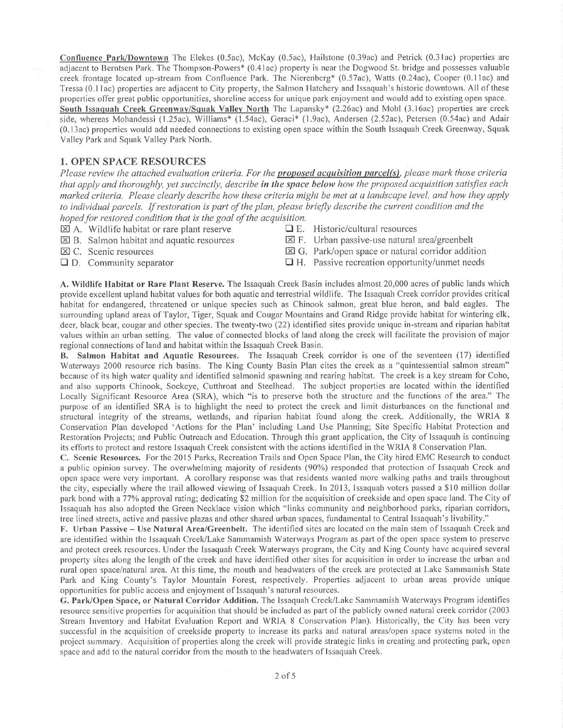Confluence Park/Downtown The Elekes (0.5ac), McKay (0.5ac), Hailstone (0.39ac) and Petrick (0.3lac) properties are adjacent to Berntsen Park. The Thompson-Powers\* (0.41ac) property is near the Dogwood St. bridge and possesses valuable creek frontage located up-stream from Confluence Park. The Nierenberg\* (0.57ac), Watts (0.24ac), Cooper (0.11ac) and Tressa (0.11ac) properties are adjacent to City property, the Salmon Hatchery and Issaquah's historic downtown. All of these properties offer great public opportunities, shoreline access for unique park enjoyment and would add to existing open space. South Issaquah Creek Greenway/Squak Valley North The Lapansky\*  $(2.26ac)$  and Mohl  $(3.16ac)$  properties are creek side, whereas Mohandessi (1 .25ac), Williams\* (l.54ac), Geraci\* (l.9ac), Andersen (2.52ac), Petersen (0.54ac) and Adair (0.l3ac) properties would add needed connections to existing open space within the South Issaquah Creek Greenway, Squak Valley Park and Squak Valley Park North.

#### 1. OPEN SPACE RESOURCES

Please review the attached evaluation criteria. For the proposed acquisition parcel(s), please mark those criteria that apply and thoroughly, yet succinctly, describe in the space below how the proposed acquisition satisfies each marked criteria. Please clearly describe how these criteria might be met at a landscape level, and how they apply to individual parcels. If restoration is part of the plan, please briefly describe the current condition and the hoped for restored condition that is the goal of the acquisition.<br> $\boxtimes$  A. Wildlife habitat or rare plant reserve  $\Box$  E. Historic/cultural resources

- $\boxtimes$  A. Wildlife habitat or rare plant reserve
- 
- 
- 
- $\boxtimes$  B. Salmon habitat and aquatic resources  $\boxtimes$  F. Urban passive-use natural area/greenbelt  $\boxtimes$  C. Scenic resources  $\boxtimes$  G. Park/open space or natural corridor additional
	- $\boxtimes$  G. Park/open space or natural corridor addition
	-
- $\Box$  D. Community separator  $\Box$  H. Passive recreation opportunity/unmet needs

A. Wildlife Habitat or Rare Plant Reserve. The Issaquah Creek Basin includes almost 20,000 acres of public lands which provide excellent upland habitat values for both aquatic and terrestrial wildlife. The lssaquah Creek corridor provides critical habitat for endangered, threatened or unique species such as Chinook sahnon, great blue heron, and bald eagles. The surrounding upland areas of Taylor, Tiger, Squak and Cougar Mountains and Grand Ridge provide habitat for wintering elk, deer, black bear, cougar and other species. The twenty-two (22) identified sites provide unique in-stream and riparian habitat values within an urban setting. The value of connected blocks of Iand along the creek will facilitate the provision of major regional connections of land and habitat within the Issaquah Creek Basin.

B. Salmon Habitat and Aquatic Resources. The Issaquah Creek corridor is one of the seventeen (17) identified Waterways 2000 resource rich basins. The King County Basin Plan cites the creek as a "quintessential salmon stream" because of its high water quality and identified salmonid spawning and rearing habitat. The creek is a key stream for Coho, and also supports Chinook, Sockeye, Cutthroat and Steelhead. The subject properties are located within the identified Locally Signifìcant Resource Area (SRA), which "is to preserve both the structure and the functions of the area." The purpose of an identified SRA is to highlight the need to protect the creek and limit disturbances on the functional and structural integrity of the streams, wetlands, and riparian habitat found along the creek. Additionally, the WRIA <sup>8</sup> Conservation Plan developed 'Actions for the Plan' including Land Use Planning; Site Specific Habitat Protection and Restoration Projects; and Public Outreach and Education. Through this grant application, the City of Issaquah is continuing its efforts to protect and restore Issaquah Creek consistent with the actions identified in the WRIA 8 Conservation Plan.

C. Scenic Resources. Forthe 2015 Parks, Recreation Trails and Open Space Plan, the City hired EMC Research to conduct a public opinion survey. The overwhehning majority of residents (90%) responded that protection of Issaquah Creek and open space were very important. A corollary response was that residents wanted rnore walking paths and trails throughout the city, especially where the trail allowed viewing of Issaquah Creek. In 2013, Issaquah voters passed a \$10 million dollar park bond with a 77% approval rating; dedicating \$2 million for the acquisition of creekside and open space land. The City of Issaquah has also adopted the Green Necklace vision which "links comrnunity and neighborhood parks, riparian corridors, tree lined streets, active and passive plazas and other shared urban spaces, fundamental to Central Issaquah's livability."

F. Urban Passive - Use Natural Area/Greenbelt. The identified sites are located on the main stem of lssaquah Creek and are identified within the Issaquah Creek/Lake Sammamish Waterways Program as part of the open space system to preserve and protect creek resources. Under the Issaquah Creek Waterways program, the City and King County have acquired several property sites along the length of the creek and have identified other sites for acquisition in order to increase the urban and rural open space/natural area. At this time, the mouth and headwaters of the creek are protected at Lake Sarnmarnish State Park and King County's Taylor Mountain Forest, respectively. Properlies adjacent to urban areas provide unique opportunities for public access and enjoyment of Issaquah's natural resources.

G. Park/Open Space, or Natural Corridor Addition. The Issaquah Creek/Lake Sanrmamish Waterways Program identifies resource sensitive properties for acquisition that should be included as part of the publicly owned natural creek corridor (2003) Stream Inventory and Habitat Evaluation Report and WRIA 8 Conservation Plan). Historically, the City has been very successful in the acquisition of creekside property to increase its parks and natural areas/open space systems noted in the project summary. Acquisition of properties along the creek will provide strategic links in creating and protecting park, open space and add to the natural corridor from the mouth to the headwaters of Issaquah Creek.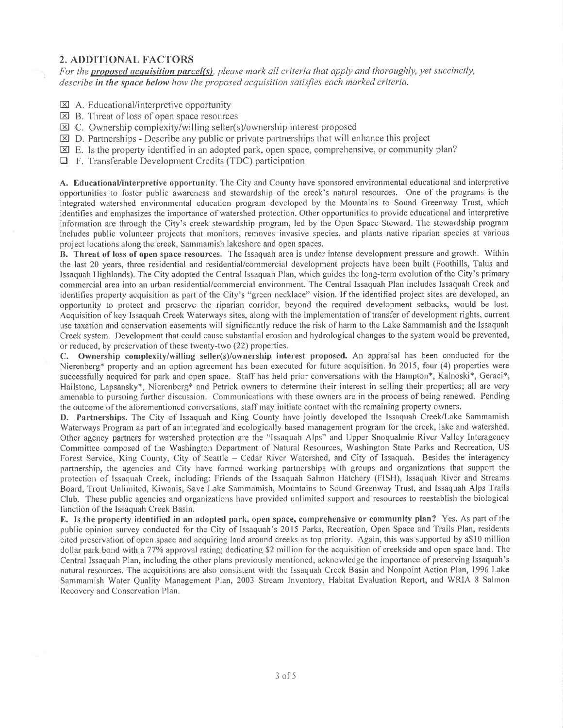#### 2. ADDITIONAL FACTORS

For the proposed acquisition parcel(s), please mark all criteria that apply and thoroughly, yet succinctly, describe in the space below how the proposed acquisition satisfies each marked criteria.

- $\boxtimes$  A. Educational/interpretive opportunity
- $\boxtimes$  B. Threat of loss of open space resources
- $\boxtimes$  C. Ownership complexity/willing seller(s)/ownership interest proposed
- $\boxtimes$  D. Partnerships Describe any public or private partnerships that will enhance this project
- $\boxtimes$  E. Is the property identified in an adopted park, open space, comprehensive, or community plan?
- $\Box$  F. Transferable Development Credits (TDC) participation

A. Educational/interpretive opportunity. The City and County have sponsored environmental educational and interpretive opporlunities to foster public awareness and stewardship of the creek's natural resources. One of the programs is the integrated watershed environmental education program developed by the Mountains to Sound Greenway Trust, which identifies and emphasizes the importance of watershed protection. Other opportunities to provide educational and interpretive information are through the City's creek stewardship program, led by the Open Space Steward. The stewardship prograrn includes public volunteer projects that monitors, removes invasive species, and plants native riparian species at various project locations along the creek, Samrnamish lakeshore and open spaces.

B. Threat of loss of open spâce resources. The Issaquah area is under intense development pressure and growth. Within the last 20 years, three residential and residential/commercial development projects have been built (Foothills, Talus and lssaquah Highlands). The City adopted the Central Issaquah Plan, which guides the long-term evolution of the City's primary commercial area into an urban residential/cornmercial environment. The Central Issaquah Plan includes Issaquah Creek and identifies property acquisition as part of the City's "green necklace" vision. If the identified project sites are developed, an opportunity to protect and preserve the riparian corridor, beyond the required development setbacks, would be lost. Acquisition of key Issaquah Creek Waterways sites, along with the implementation of transfer of development rights, current use taxation and conservation easements will significantly reduce the risk of harm to the Lake Sammamish and the lssaquah Creek system. Development that could cause substantial erosion and hydrological changes to the system would be prevented, or reduced, by preservation of these twenty-two (22) properties.

C. Ownership complexity/willing seller(s)/ownership interest proposed. An appraisal has been conducted for the Nierenberg\* property and an option agreement has been executed for future acquisition. ln 2015, four (4) properlies were successfully acquired for park and open space. Staff has held prior conversations with the Hampton\*, Kalnoski\*, Geraci\*, Hailstone, Lapsansky\*, Nierenberg\* and Petrick owners to determine their interest in selling their properties; all are very amenable to pursuing further discussion. Communications with these owners are in the process of being renewed. Pending the outcome of the aforementioned conversations, staff may initiate contact with the remaining property owners.

D. Partnerships. The City of lssaquah and King County have jointly developed the lssaquah Creek/Lake Sammamish Waterways Program as part of an integrated and ecologically based management program for the creek, lake and watershed. Other agency partners for watershed protection are the "lssaquah Alps" and Upper Snoqualmie River Valley Interagency Committee composed of the Washington Department of Natural Resources, Washington State Parks and Recreation, US Forest Service, King County, City of Seattle - Cedar River Watershed, and City of Issaquah. Besides the interagency partnership, the agencies and City have formed working partnerships with groups and organizations that support the protection of lssaquah Creek, including: Friends of the Issaquah Sahnon Hatchery (FISH), Issaquah River and Streams Board, Trout Unlimited, Kiwanis, Save Lake Sammamish, Mountains to Sound Greenway Trust, and Issaquah Alps Trails Club. These public agencies and organizations have provided unlimited support and resources to reestablish the biological function of the Issaquah Creek Basin.

E. Is the property identified in an adopted park, open spâce, comprehensive or community plan? Yes. As part of the public opinion survey conducted for the City of Issaquah's 20 l5 Parks, Recreation, Open Space and Trails Plan, residents cited preservation of open space and acquiring land around creeks as top priority. Again, this was supported by a\$10 million dollar park bond with a 77% approval rating; dedicating \$2 million for the acquisition of creekside and open space land. The Central Issaquah Plan, including the other plans previously mentioned, acknowledge the importance of preserving lssaquah's natural resources. The acquisitions are also consistent with the Issaquah Creek Basin and Nonpoint Action Plan, 1996 Lake Sammamish Water Quality Management Plan, 2003 Stream Inventory, Habitat Evaluation Report, and WRIA 8 Salmon Recovery and Conservation Plan.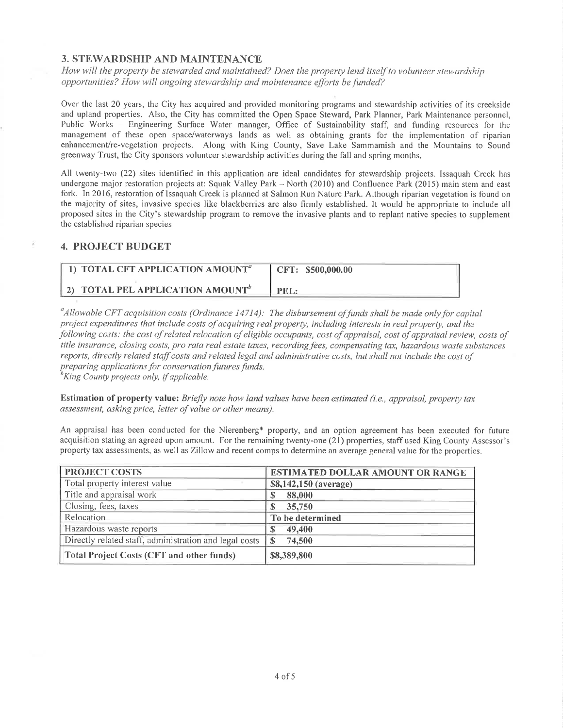## 3. STEWARDSHIP AND MAINTENANCE

How will the property be stewarded and maintained? Does the property lend itself to volunteer stewardship opportunities? How will ongoing stewardship and maintenance efforts be funded?

Over the last 20 years, the City has acquired and provided monitoring programs and stewardship activities of its creekside and upland properties. Also, the City has committed the Open Space Steward, Park Planner, Park Maintenance personnel, Public Works – Engineering Surface Water manager, Office of Sustainability staff, and funding resources for the management of these open space/waterways lands as well as obtaining grants for the implementation of riparian enhancement/re-vegetation projects. Along with King County, Save Lake Sammamish and the Mountains to Sound greenway Trust, the City sponsors volunteer stewardship activities during the fall and spring months.

All twenty-two (22) sites identified in this application are ideal candidates for stewardship projects. Issaquah Creek has undergone major restoration projects at: Squak Valley Park – North (2010) and Confluence Park (2015) main stem and east fork. In 2016, restoration of Issaquah Creek is planned at Salmon Run Nature Park. Although riparian vegetation is found on the majority of sites, invasive species like blackberries are also firmly established. It would be appropriate to include all proposed sites in the City's stewardship prograln to remove the invasive plants and to replant native species to supplement the established riparian species

### 4. PROJECT BUDGET

| 1) TOTAL CFT APPLICATION AMOUNT <sup>a</sup> | CFT: \$500,000.00 |
|----------------------------------------------|-------------------|
| 2) TOTAL PEL APPLICATION AMOUNT <sup>b</sup> | PEL -             |

 $^a$ Allowable CFT acquisition costs (Ordinance 14714); The disbursement of funds shall be made only for capital project expenditures that include costs of acquiring real property, including interests in real property, and the following costs: the cost of related relocation of eligible occupants, cost of appraisal, cost of appraisal review, costs of title insurance, closing costs, pro rata real estate taxes, recording fees, compensating tax, hazardous waste substances reports, directly related staff costs and related legal and administrative costs, but shall not include the cost of preparing applications for conservation futures funds.<br><sup>h</sup>King County projects only, if applicable.

Estimation of property value: Briefly note how land values have been estimated (i.e., appraisal, property tax assessment, asking price, letter of value or other means).

An appraisal has been conducted for the Nierenberg\* property, and an option agreement has been executed for future acquisition stating an agreed upon amount. For the remaining twenty-one (21) properties, staff used King County Assessor's property tax assesslnents, as well as Zillow and recent comps to determine an average general value for the properties.

| PROJECT COSTS                                          | <b>ESTIMATED DOLLAR AMOUNT OR RANGE</b> |
|--------------------------------------------------------|-----------------------------------------|
| Total property interest value                          | \$8,142,150 (average)                   |
| Title and appraisal work                               | 88,000                                  |
| Closing, fees, taxes                                   | 35,750                                  |
| Relocation                                             | To be determined                        |
| Hazardous waste reports                                | 49,400                                  |
| Directly related staff, administration and legal costs | 74,500<br>S                             |
| <b>Total Project Costs (CFT and other funds)</b>       | \$8,389,800                             |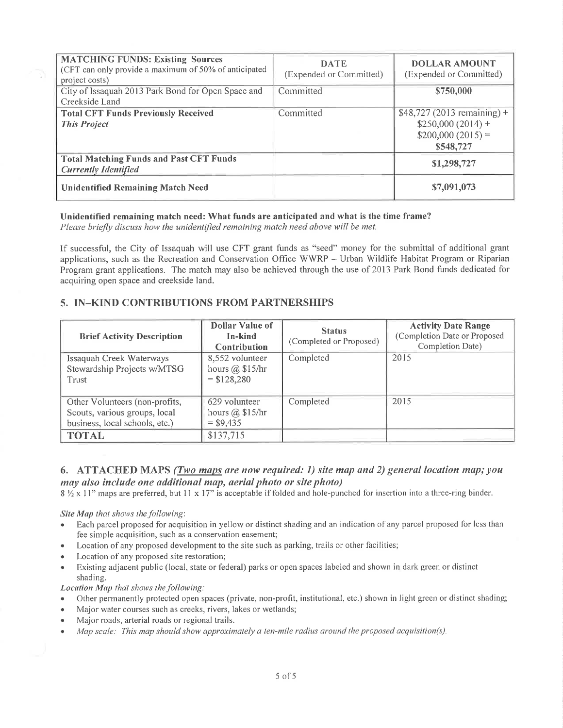| <b>MATCHING FUNDS: Existing Sources</b><br>(CFT can only provide a maximum of 50% of anticipated<br>project costs) | <b>DATE</b><br>(Expended or Committed) | <b>DOLLAR AMOUNT</b><br>(Expended or Committed)                                      |
|--------------------------------------------------------------------------------------------------------------------|----------------------------------------|--------------------------------------------------------------------------------------|
| City of Issaquah 2013 Park Bond for Open Space and<br>Creekside Land                                               | Committed                              | \$750,000                                                                            |
| <b>Total CFT Funds Previously Received</b><br><b>This Project</b>                                                  | Committed                              | $$48,727(2013$ remaining) +<br>$$250,000(2014) +$<br>$$200,000(2015) =$<br>\$548,727 |
| <b>Total Matching Funds and Past CFT Funds</b><br><b>Currently Identified</b>                                      |                                        | \$1,298,727                                                                          |
| <b>Unidentified Remaining Match Need</b>                                                                           |                                        | \$7,091,073                                                                          |

#### Unidentified remaining match need: What funds are anticipated and what is the time frame?

Please briefly discuss how the unidentified remaining match need above will be met.

If successful, the City of Issaquah will use CFT grant funds as "seed" money for the submittal of additional grant applications, such as the Recreation and Conservation Office WWRP - Urban Wildlife Habitat Program or Riparian Program grant applications. The match may also be achieved through the use of 2013 Park Bond funds dedicated for acquiring open space and creekside land.

## 5. IN-KIND CONTRIBUTIONS FROM PARTNERSHIPS

| <b>Brief Activity Description</b>                                                                 | Dollar Value of<br>In-kind<br><b>Contribution</b>       | <b>Status</b><br>(Completed or Proposed) | <b>Activity Date Range</b><br>(Completion Date or Proposed<br>Completion Date) |
|---------------------------------------------------------------------------------------------------|---------------------------------------------------------|------------------------------------------|--------------------------------------------------------------------------------|
| Issaquah Creek Waterways<br>Stewardship Projects w/MTSG<br>Trust                                  | 8,552 volunteer<br>hours $(a)$ \$15/hr<br>$=$ \$128,280 | Completed                                | 2015                                                                           |
| Other Volunteers (non-profits,<br>Scouts, various groups, local<br>business, local schools, etc.) | 629 volunteer<br>hours $(a)$ \$15/hr<br>$=$ \$9,435     | Completed                                | 2015                                                                           |
| <b>TOTAL</b>                                                                                      | \$137,715                                               |                                          |                                                                                |

### 6. ATTACHED MAPS (Two maps are now required: 1) site map and 2) general location map; you may also include one additional map, aerial photo or site photo)

 $8\frac{1}{2} \times 11$ " maps are preferred, but 11 x 17" is acceptable if folded and hole-punched for insertion into a three-ring binder.

#### Site Map that shows the following:

- Each parcel proposed for acquisition in yellow or distinct shading and an indication of any parcel proposed for less than fee simple acquisition, such as a conservation easement;
- Location of any proposed development to the site such as parking, trails or other facilities;
- Location of any proposed site restoration;
- Existing adjacent public (local, state or federal) parks or open spaces labeled and shown in dark green or distinct shading.

#### Location Map that shows the following:

- Other permanently protected open spaces (private, non-profit, institutional, etc.) shown in light green or distinct shading;
- Major water courses such as creeks, rivers, lakes or wetlands;
- Major roads, arterial roads or regional trails.
- Map scale: This map should show approximately a ten-mile radius around the proposed acquisition(s).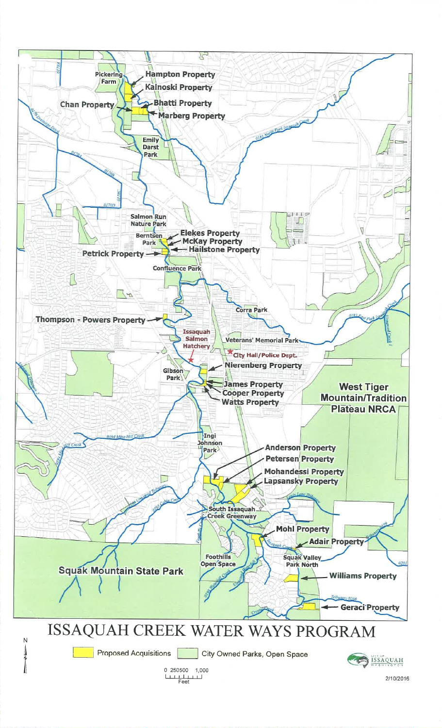